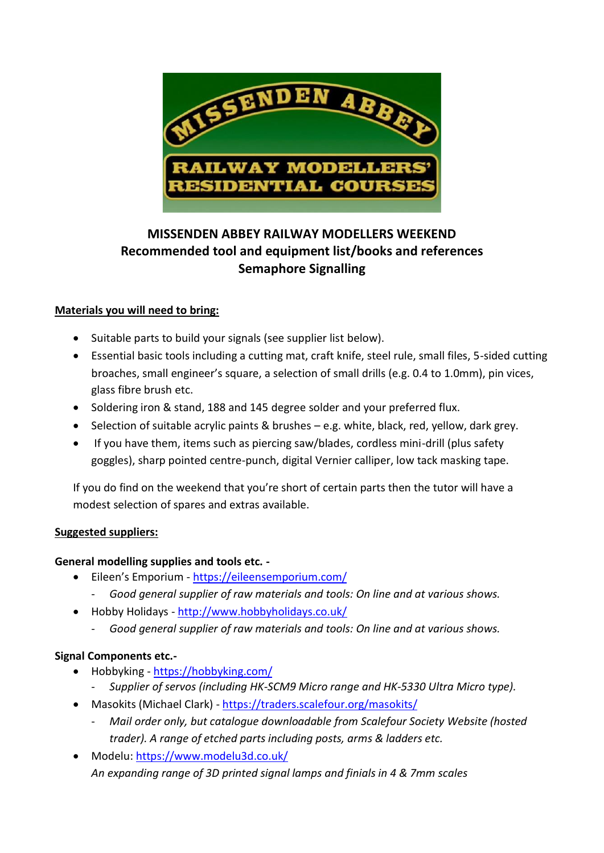

# **MISSENDEN ABBEY RAILWAY MODELLERS WEEKEND Recommended tool and equipment list/books and references Semaphore Signalling**

## **Materials you will need to bring:**

- Suitable parts to build your signals (see supplier list below).
- Essential basic tools including a cutting mat, craft knife, steel rule, small files, 5-sided cutting broaches, small engineer's square, a selection of small drills (e.g. 0.4 to 1.0mm), pin vices, glass fibre brush etc.
- Soldering iron & stand, 188 and 145 degree solder and your preferred flux.
- Selection of suitable acrylic paints & brushes e.g. white, black, red, yellow, dark grey.
- If you have them, items such as piercing saw/blades, cordless mini-drill (plus safety goggles), sharp pointed centre-punch, digital Vernier calliper, low tack masking tape.

If you do find on the weekend that you're short of certain parts then the tutor will have a modest selection of spares and extras available.

#### **Suggested suppliers:**

#### **General modelling supplies and tools etc. -**

- Eileen's Emporium <https://eileensemporium.com/>
	- *Good general supplier of raw materials and tools: On line and at various shows.*
- Hobby Holidays <http://www.hobbyholidays.co.uk/>
	- *Good general supplier of raw materials and tools: On line and at various shows.*

#### **Signal Components etc.-**

- Hobbyking <https://hobbyking.com/>
	- *Supplier of servos (including HK-SCM9 Micro range and HK-5330 Ultra Micro type).*
- Masokits (Michael Clark) <https://traders.scalefour.org/masokits/>
	- *Mail order only, but catalogue downloadable from Scalefour Society Website (hosted trader). A range of etched parts including posts, arms & ladders etc.*
- Modelu:<https://www.modelu3d.co.uk/> *An expanding range of 3D printed signal lamps and finials in 4 & 7mm scales*